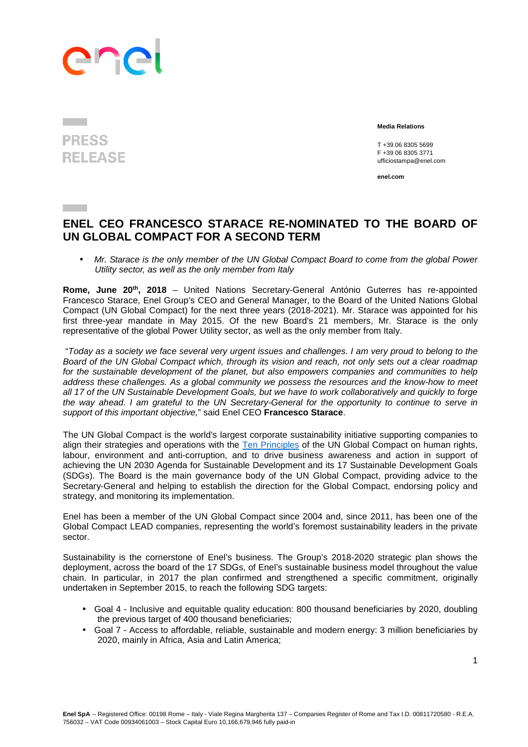## ane

## **PRESS RELEASE**

 **Media Relations** 

T +39 06 8305 5699 F +39 06 8305 3771 ufficiostampa@enel.com

**enel.com**

## **ENEL CEO FRANCESCO STARACE RE-NOMINATED TO THE BOARD OF UN GLOBAL COMPACT FOR A SECOND TERM**

• Mr. Starace is the only member of the UN Global Compact Board to come from the global Power Utility sector, as well as the only member from Italy

**Rome, June 20th, 2018** – United Nations Secretary-General António Guterres has re-appointed Francesco Starace, Enel Group's CEO and General Manager, to the Board of the United Nations Global Compact (UN Global Compact) for the next three years (2018-2021). Mr. Starace was appointed for his first three-year mandate in May 2015. Of the new Board's 21 members, Mr. Starace is the only representative of the global Power Utility sector, as well as the only member from Italy.

 "Today as a society we face several very urgent issues and challenges. I am very proud to belong to the Board of the UN Global Compact which, through its vision and reach, not only sets out a clear roadmap for the sustainable development of the planet, but also empowers companies and communities to help address these challenges. As a global community we possess the resources and the know-how to meet all 17 of the UN Sustainable Development Goals, but we have to work collaboratively and quickly to forge the way ahead. I am grateful to the UN Secretary-General for the opportunity to continue to serve in support of this important objective," said Enel CEO **Francesco Starace**.

The UN Global Compact is the world's largest corporate sustainability initiative supporting companies to align their strategies and operations with the Ten Principles of the UN Global Compact on human rights, labour, environment and anti-corruption, and to drive business awareness and action in support of achieving the UN 2030 Agenda for Sustainable Development and its 17 Sustainable Development Goals (SDGs). The Board is the main governance body of the UN Global Compact, providing advice to the Secretary‐General and helping to establish the direction for the Global Compact, endorsing policy and strategy, and monitoring its implementation.

Enel has been a member of the UN Global Compact since 2004 and, since 2011, has been one of the Global Compact LEAD companies, representing the world's foremost sustainability leaders in the private sector.

Sustainability is the cornerstone of Enel's business. The Group's 2018-2020 strategic plan shows the deployment, across the board of the 17 SDGs, of Enel's sustainable business model throughout the value chain. In particular, in 2017 the plan confirmed and strengthened a specific commitment, originally undertaken in September 2015, to reach the following SDG targets:

- Goal 4 Inclusive and equitable quality education: 800 thousand beneficiaries by 2020, doubling the previous target of 400 thousand beneficiaries;
- Goal 7 Access to affordable, reliable, sustainable and modern energy: 3 million beneficiaries by 2020, mainly in Africa, Asia and Latin America;